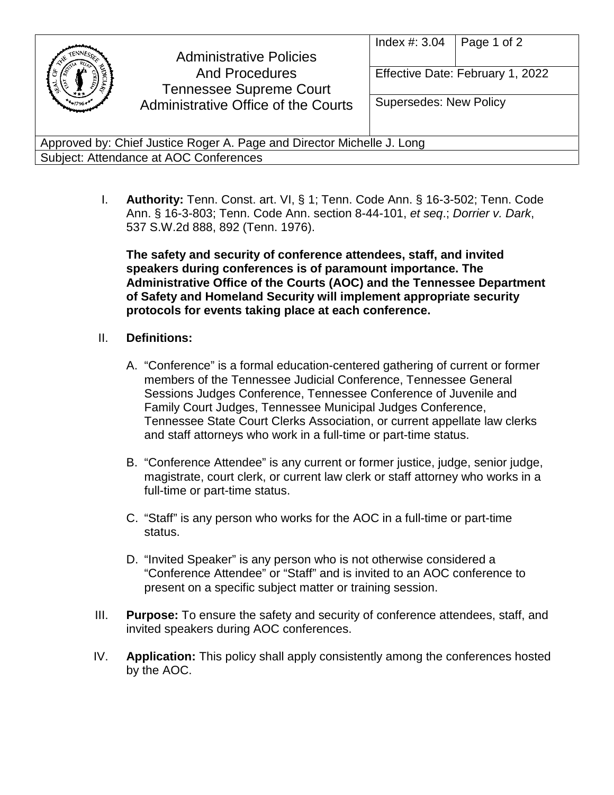|                                                                        | <b>Administrative Policies</b><br><b>And Procedures</b><br><b>Tennessee Supreme Court</b><br>Administrative Office of the Courts | Index $\#$ : 3.04<br><b>Supersedes: New Policy</b> | Page 1 of 2<br>Effective Date: February 1, 2022 |
|------------------------------------------------------------------------|----------------------------------------------------------------------------------------------------------------------------------|----------------------------------------------------|-------------------------------------------------|
|                                                                        |                                                                                                                                  |                                                    |                                                 |
| Approved by: Chief Justice Roger A. Page and Director Michelle J. Long |                                                                                                                                  |                                                    |                                                 |
| Subject: Attendance at AOC Conferences                                 |                                                                                                                                  |                                                    |                                                 |

I. **Authority:** Tenn. Const. art. VI, § 1; Tenn. Code Ann. § 16-3-502; Tenn. Code Ann. § 16-3-803; Tenn. Code Ann. section 8-44-101, *et seq*.; *Dorrier v. Dark*, 537 S.W.2d 888, 892 (Tenn. 1976).

**The safety and security of conference attendees, staff, and invited speakers during conferences is of paramount importance. The Administrative Office of the Courts (AOC) and the Tennessee Department of Safety and Homeland Security will implement appropriate security protocols for events taking place at each conference.**

## II. **Definitions:**

- A. "Conference" is a formal education-centered gathering of current or former members of the Tennessee Judicial Conference, Tennessee General Sessions Judges Conference, Tennessee Conference of Juvenile and Family Court Judges, Tennessee Municipal Judges Conference, Tennessee State Court Clerks Association, or current appellate law clerks and staff attorneys who work in a full-time or part-time status.
- B. "Conference Attendee" is any current or former justice, judge, senior judge, magistrate, court clerk, or current law clerk or staff attorney who works in a full-time or part-time status.
- C. "Staff" is any person who works for the AOC in a full-time or part-time status.
- D. "Invited Speaker" is any person who is not otherwise considered a "Conference Attendee" or "Staff" and is invited to an AOC conference to present on a specific subject matter or training session.
- III. **Purpose:** To ensure the safety and security of conference attendees, staff, and invited speakers during AOC conferences.
- IV. **Application:** This policy shall apply consistently among the conferences hosted by the AOC.